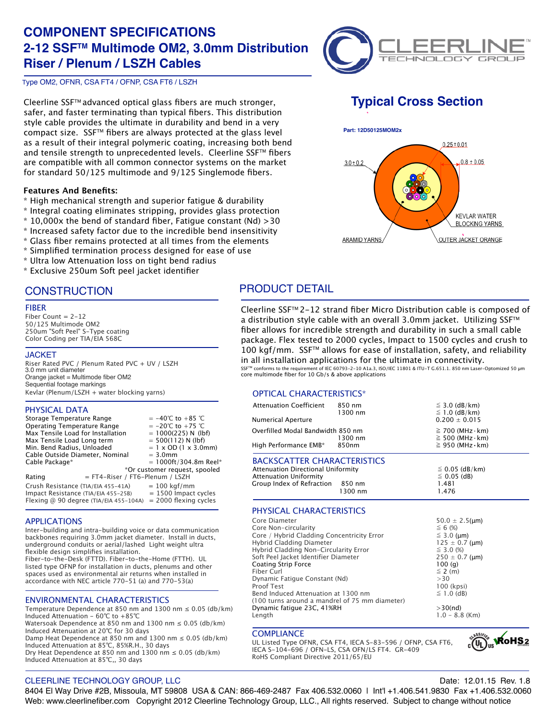# **COMPONENT SPECIFICATIONS 2-12 SSFTM Multimode OM2, 3.0mm Distribution Riser / Plenum / LSZH Cables**



Type OM2, OFNR, CSA FT4 / OFNP, CSA FT6 / LSZH

Cleerline SSF<sup>™</sup> advanced optical glass fibers are much stronger, safer, and faster terminating than typical fibers. This distribution style cable provides the ultimate in durability and bend in a very compact size. SSF™ fibers are always protected at the glass level as a result of their integral polymeric coating, increasing both bend and tensile strength to unprecedented levels. Cleerline SSF™ fibers are compatible with all common connector systems on the market for standard 50/125 multimode and 9/125 Singlemode fibers.

### **Features And Benefits:**

- \* High mechanical strength and superior fatigue & durability
- \* Integral coating eliminates stripping, provides glass protection
- $*$  10,000x the bend of standard fiber, Fatigue constant (Nd)  $>$  30
- \* Increased safety factor due to the incredible bend insensitivity
- \* Glass fiber remains protected at all times from the elements
- \* Simplified termination process designed for ease of use
- \* Ultra low Attenuation loss on tight bend radius
- \* Exclusive 250um Soft peel jacket identifier

## **CONSTRUCTION**

### FIBER

Fiber Count =  $2-12$ 50/125 Multimode OM2 250um "Soft Peel" S-Type coating Color Coding per TIA/EIA 568C

### **JACKET**

Riser Rated PVC / Plenum Rated PVC + UV / LSZH 3.0 mm unit diameter Orange jacket = Multimode fiber OM2 Sequential footage markings Kevlar (Plenum/LSZH + water blocking yarns)

### PHYSICAL DATA

| Storage Temperature Range<br>Min. Bend Radius, Unloaded | Operating Temperature Range<br>Max Tensile Load for Installation<br>Max Tensile Load Long term<br>Cable Outside Diameter, Nominal | $= 3.0$ mm | $= -40^{\circ}$ C to $+85^{\circ}$ C<br>$= -20^{\circ}$ C to $+75^{\circ}$ C<br>$= 1000(225)$ N (lbf)<br>$= 500(112)$ N (lbf)<br>$= 1 \times$ OD (1 $\times$ 3.0mm) |
|---------------------------------------------------------|-----------------------------------------------------------------------------------------------------------------------------------|------------|---------------------------------------------------------------------------------------------------------------------------------------------------------------------|
| Cable Package*                                          |                                                                                                                                   |            | $= 1000 \text{ft} / 304.8 \text{m}$ Reel*                                                                                                                           |
|                                                         | = FT4-Riser / FT6-Plenum / LSZH                                                                                                   |            | *Or customer request, spooled                                                                                                                                       |
| Rating                                                  |                                                                                                                                   |            |                                                                                                                                                                     |
|                                                         | Crush Resistance (TIA/EIA 455-41A)<br>Impact Resistance (TIA/EIA 455-25B)<br>Flexing @ 90 degree (TIA/EIA 455-104A)               |            | $= 100$ kgf/mm<br>$= 1500$ Impact cycles<br>$= 2000$ flexing cycles                                                                                                 |

### APPLICATIONS

Inter-building and intra-building voice or data communication backbones requiring 3.0mm jacket diameter. Install in ducts, underground conduits or aerial/lashed Light weight ultra flexible design simplifies installation.

Fiber-to-the-Desk (FTTD). Fiber-to-the-Home (FTTH). UL listed type OFNP for installation in ducts, plenums and other spaces used as environmental air returns when installed in accordance with NEC article 770-51 (a) and 770-53(a)

### ENVIRONMENTAL CHARACTERISTICS

Temperature Dependence at 850 nm and 1300 nm  $\leq$  0.05 (db/km) Induced Attenuation - 60℃ to +85℃ Watersoak Dependence at 850 nm and 1300 nm  $\leq$  0.05 (db/km) Induced Attenuation at 20℃ for 30 days Damp Heat Dependence at 850 nm and 1300 nm  $\leq$  0.05 (db/km) Induced Attenuation at 85℃, 85%R.H., 30 days Dry Heat Dependence at 850 nm and 1300 nm  $\leq$  0.05 (db/km) Induced Attenuation at 85℃,, 30 days

# **Typical Cross Section**



PRODUCT DETAIL

Cleerline SSFTM 2-12 strand fiber Micro Distribution cable is composed of a distribution style cable with an overall 3.0mm jacket. Utilizing SSF™ fiber allows for incredible strength and durability in such a small cable package. Flex tested to 2000 cycles, Impact to 1500 cycles and crush to 100 kgf/mm. SSF™ allows for ease of installation, safety, and reliability in all installation applications for the ultimate in connectivity.

SSF™ conforms to the requirement of IEC 60793-2-10 A1a.3, ISO/IEC 11801 & ITU-T G.651.1. 850 nm Laser-Optomized 50 µm core multimode fiber for 10 Gb/s & above applications

### OPTICAL CHARACTERISTICS\*

| <b>Attenuation Coefficient</b>                                              | 850 nm<br>1300 nm | $\leq$ 3.0 (dB/km)<br>$\leq$ 1.0 (dB/km)                   |  |
|-----------------------------------------------------------------------------|-------------------|------------------------------------------------------------|--|
| <b>Numerical Aperture</b>                                                   |                   | $0.200 \pm 0.015$                                          |  |
| Overfilled Modal Bandwidth 850 nm                                           | 1300 nm           | $\geq$ 700 (MHz $\cdot$ km)<br>$\geq$ 500 (MHz $\cdot$ km) |  |
| High Performance EMB*                                                       | 850nm             | $\geq$ 950 (MHz $\cdot$ km)                                |  |
| <b>BACKSCATTER CHARACTERISTICS</b><br>Association Discussional Holfs and to |                   | $\sim$ 0.05 ( $\sim$ 10 ( $\sim$ $\sim$ )                  |  |

### ttenuation Directional Uniformity ≦ 0.05 (dB/km)<br>ttenuation Uniformitv ≤ 0.05 (dB)  $\text{Attention}\ \text{Uniformity} \ \leq 0.05$ <br>Group Index of Refraction  $\text{RSD}\ \text{nm}$  (1.48)

### Group Index of Refraction 850 nm 1.481<br>1.476 1.476 1300 nm

# PHYSICAL CHARACTERISTICS

| Core Diameter                                  | $50.0 \pm 2.5 \, \mu m$ |
|------------------------------------------------|-------------------------|
| Core Non-circularity                           | $\leq 6$ (%)            |
| Core / Hybrid Cladding Concentricity Error     | $\leq$ 3.0 (µm)         |
| Hybrid Cladding Diameter                       | $125 \pm 0.7$ (µm)      |
| Hybrid Cladding Non-Circularity Error          | $\leq$ 3.0 (%)          |
| Soft Peel Jacket Identifier Diameter           | $250 \pm 0.7$ (µm)      |
| Coating Strip Force                            | 100(q)                  |
| Fiber Curl                                     | $\leq$ 2 (m)            |
| Dynamic Fatique Constant (Nd)                  | >30                     |
| Proof Test                                     | 100 (kpsi)              |
| Bend Induced Attenuation at 1300 nm            | $\leq$ 1.0 (dB)         |
| (100 turns around a mandrel of 75 mm diameter) |                         |
| Dynamic fatique 23C, 41%RH                     | $>30$ (nd)              |
| Length                                         | $1.0 - 8.8$ (Km)        |
|                                                |                         |

### **COMPLIANCE**

UL Listed Type OFNR, CSA FT4, IECA S-83-596 / OFNP, CSA FT6, IECA S-104-696 / OFN-LS, CSA OFN/LS FT4. GR-409 RoHS Compliant Directive 2011/65/EU



### CLEERLINE TECHNOLOGY GROUP, LLC Date: 12.01.15 Rev. 1.8

8404 El Way Drive #2B, Missoula, MT 59808 USA & CAN: 866-469-2487 Fax 406.532.0060 | Int'l +1.406.541.9830 Fax +1.406.532.0060 Web: www.cleerlinefiber.com Copyright 2012 Cleerline Technology Group, LLC., All rights reserved. Subject to change without notice